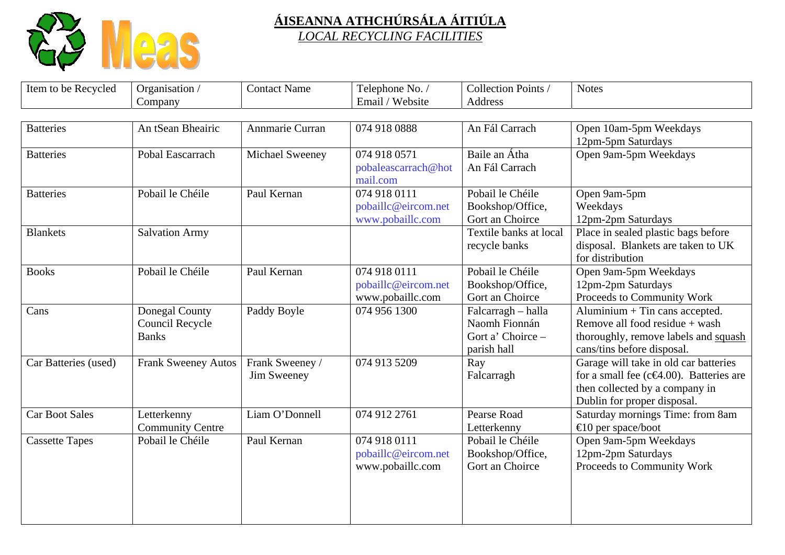

| Item to be Recycled   | Organisation /             | <b>Contact Name</b> | Telephone No. /     | Collection Points /    | <b>Notes</b>                                    |
|-----------------------|----------------------------|---------------------|---------------------|------------------------|-------------------------------------------------|
|                       | Company                    |                     | Email / Website     | Address                |                                                 |
|                       |                            |                     |                     |                        |                                                 |
| <b>Batteries</b>      | An tSean Bheairic          | Annmarie Curran     | 074 918 0888        | An Fál Carrach         | Open 10am-5pm Weekdays                          |
|                       |                            |                     |                     |                        | 12pm-5pm Saturdays                              |
| <b>Batteries</b>      | Pobal Eascarrach           | Michael Sweeney     | 074 918 0571        | Baile an Átha          | Open 9am-5pm Weekdays                           |
|                       |                            |                     | pobaleascarrach@hot | An Fál Carrach         |                                                 |
|                       |                            |                     | mail.com            |                        |                                                 |
| <b>Batteries</b>      | Pobail le Chéile           | Paul Kernan         | 074 918 0111        | Pobail le Chéile       | Open 9am-5pm                                    |
|                       |                            |                     | pobaillc@eircom.net | Bookshop/Office,       | Weekdays                                        |
|                       |                            |                     | www.pobaillc.com    | Gort an Choirce        | 12pm-2pm Saturdays                              |
| <b>Blankets</b>       | <b>Salvation Army</b>      |                     |                     | Textile banks at local | Place in sealed plastic bags before             |
|                       |                            |                     |                     | recycle banks          | disposal. Blankets are taken to UK              |
|                       |                            |                     |                     |                        | for distribution                                |
| <b>Books</b>          | Pobail le Chéile           | Paul Kernan         | 074 918 0111        | Pobail le Chéile       | Open 9am-5pm Weekdays                           |
|                       |                            |                     | pobaillc@eircom.net | Bookshop/Office,       | 12pm-2pm Saturdays                              |
|                       |                            |                     | www.pobaillc.com    | Gort an Choirce        | Proceeds to Community Work                      |
| Cans                  | Donegal County             | Paddy Boyle         | 074 956 1300        | Falcarragh - halla     | Aluminium $+$ Tin cans accepted.                |
|                       | <b>Council Recycle</b>     |                     |                     | Naomh Fionnán          | Remove all food residue + wash                  |
|                       | <b>Banks</b>               |                     |                     | Gort a' Choirce -      | thoroughly, remove labels and squash            |
|                       |                            |                     |                     | parish hall            | cans/tins before disposal.                      |
| Car Batteries (used)  | <b>Frank Sweeney Autos</b> | Frank Sweeney /     | 074 913 5209        | Ray                    | Garage will take in old car batteries           |
|                       |                            | Jim Sweeney         |                     | Falcarragh             | for a small fee ( $c \in 4.00$ ). Batteries are |
|                       |                            |                     |                     |                        | then collected by a company in                  |
|                       |                            |                     |                     |                        | Dublin for proper disposal.                     |
| <b>Car Boot Sales</b> | Letterkenny                | Liam O'Donnell      | 074 912 2761        | Pearse Road            | Saturday mornings Time: from 8am                |
|                       | <b>Community Centre</b>    |                     |                     | Letterkenny            | $\bigoplus$ 0 per space/boot                    |
| <b>Cassette Tapes</b> | Pobail le Chéile           | Paul Kernan         | 074 918 0111        | Pobail le Chéile       | Open 9am-5pm Weekdays                           |
|                       |                            |                     | pobaillc@eircom.net | Bookshop/Office,       | 12pm-2pm Saturdays                              |
|                       |                            |                     | www.pobaillc.com    | Gort an Choirce        | Proceeds to Community Work                      |
|                       |                            |                     |                     |                        |                                                 |
|                       |                            |                     |                     |                        |                                                 |
|                       |                            |                     |                     |                        |                                                 |
|                       |                            |                     |                     |                        |                                                 |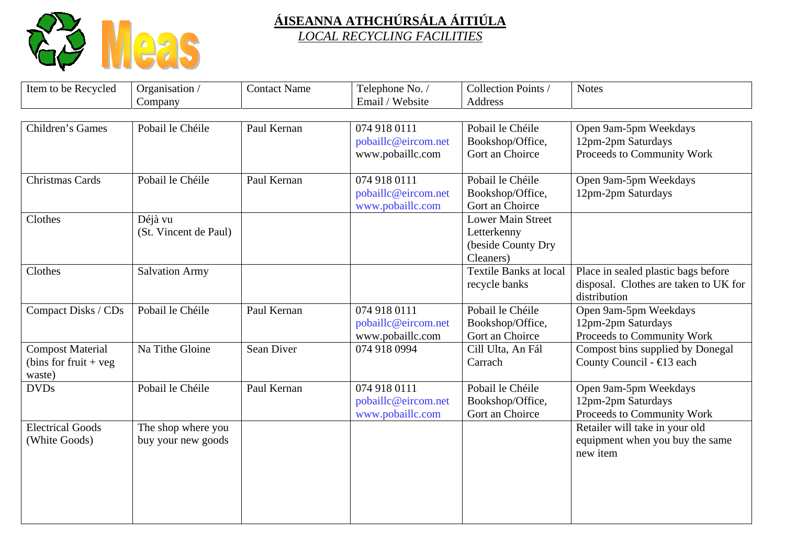

| Item to be Recycled     | Organisation /        | <b>Contact Name</b> | Telephone No. /     | Collection Points /           | <b>Notes</b>                          |
|-------------------------|-----------------------|---------------------|---------------------|-------------------------------|---------------------------------------|
|                         | Company               |                     | Email / Website     | Address                       |                                       |
|                         |                       |                     |                     |                               |                                       |
| Children's Games        | Pobail le Chéile      | Paul Kernan         | 074 918 0111        | Pobail le Chéile              | Open 9am-5pm Weekdays                 |
|                         |                       |                     | pobaillc@eircom.net | Bookshop/Office,              | 12pm-2pm Saturdays                    |
|                         |                       |                     | www.pobaillc.com    | Gort an Choirce               | Proceeds to Community Work            |
|                         |                       |                     |                     |                               |                                       |
| <b>Christmas Cards</b>  | Pobail le Chéile      | Paul Kernan         | 074 918 0111        | Pobail le Chéile              | Open 9am-5pm Weekdays                 |
|                         |                       |                     | pobaillc@eircom.net | Bookshop/Office,              | 12pm-2pm Saturdays                    |
|                         |                       |                     | www.pobaillc.com    | Gort an Choirce               |                                       |
| Clothes                 | Déjà vu               |                     |                     | <b>Lower Main Street</b>      |                                       |
|                         | (St. Vincent de Paul) |                     |                     | Letterkenny                   |                                       |
|                         |                       |                     |                     | (beside County Dry            |                                       |
|                         |                       |                     |                     | Cleaners)                     |                                       |
| Clothes                 | <b>Salvation Army</b> |                     |                     | <b>Textile Banks at local</b> | Place in sealed plastic bags before   |
|                         |                       |                     |                     | recycle banks                 | disposal. Clothes are taken to UK for |
|                         |                       |                     |                     |                               | distribution                          |
| Compact Disks / CDs     | Pobail le Chéile      | Paul Kernan         | 074 918 0111        | Pobail le Chéile              | Open 9am-5pm Weekdays                 |
|                         |                       |                     | pobaillc@eircom.net | Bookshop/Office,              | 12pm-2pm Saturdays                    |
|                         |                       |                     | www.pobaillc.com    | Gort an Choirce               | Proceeds to Community Work            |
| <b>Compost Material</b> | Na Tithe Gloine       | Sean Diver          | 074 918 0994        | Cill Ulta, An Fál             | Compost bins supplied by Donegal      |
| (bins for fruit $+$ veg |                       |                     |                     | Carrach                       | County Council - €13 each             |
| waste)                  |                       |                     |                     |                               |                                       |
| <b>DVDs</b>             | Pobail le Chéile      | Paul Kernan         | 074 918 0111        | Pobail le Chéile              | Open 9am-5pm Weekdays                 |
|                         |                       |                     | pobaillc@eircom.net | Bookshop/Office,              | 12pm-2pm Saturdays                    |
|                         |                       |                     | www.pobaillc.com    | Gort an Choirce               | Proceeds to Community Work            |
| <b>Electrical Goods</b> | The shop where you    |                     |                     |                               | Retailer will take in your old        |
| (White Goods)           | buy your new goods    |                     |                     |                               | equipment when you buy the same       |
|                         |                       |                     |                     |                               | new item                              |
|                         |                       |                     |                     |                               |                                       |
|                         |                       |                     |                     |                               |                                       |
|                         |                       |                     |                     |                               |                                       |
|                         |                       |                     |                     |                               |                                       |
|                         |                       |                     |                     |                               |                                       |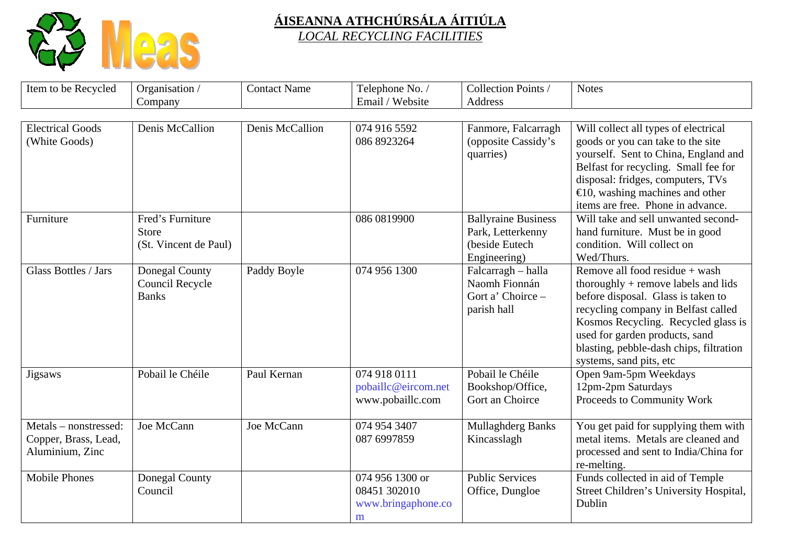

| Item to be Recycled     | Organisation /        | <b>Contact Name</b> | Telephone No. /     | Collection Points /        | <b>Notes</b>                              |
|-------------------------|-----------------------|---------------------|---------------------|----------------------------|-------------------------------------------|
|                         | Company               |                     | Email / Website     | Address                    |                                           |
|                         |                       |                     |                     |                            |                                           |
| <b>Electrical Goods</b> | Denis McCallion       | Denis McCallion     | 074 916 5592        | Fanmore, Falcarragh        | Will collect all types of electrical      |
| (White Goods)           |                       |                     | 086 8923264         | (opposite Cassidy's        | goods or you can take to the site         |
|                         |                       |                     |                     | quarries)                  | yourself. Sent to China, England and      |
|                         |                       |                     |                     |                            | Belfast for recycling. Small fee for      |
|                         |                       |                     |                     |                            | disposal: fridges, computers, TVs         |
|                         |                       |                     |                     |                            | $\bigoplus$ 0, washing machines and other |
|                         |                       |                     |                     |                            | items are free. Phone in advance.         |
| Furniture               | Fred's Furniture      |                     | 086 0819900         | <b>Ballyraine Business</b> | Will take and sell unwanted second-       |
|                         | <b>Store</b>          |                     |                     | Park, Letterkenny          | hand furniture. Must be in good           |
|                         | (St. Vincent de Paul) |                     |                     | (beside Eutech             | condition. Will collect on                |
|                         |                       |                     |                     | Engineering)               | Wed/Thurs.                                |
| Glass Bottles / Jars    | Donegal County        | Paddy Boyle         | 074 956 1300        | Falcarragh - halla         | Remove all food residue + wash            |
|                         | Council Recycle       |                     |                     | Naomh Fionnán              | thoroughly $+$ remove labels and lids     |
|                         | <b>Banks</b>          |                     |                     | Gort a' Choirce -          | before disposal. Glass is taken to        |
|                         |                       |                     |                     | parish hall                | recycling company in Belfast called       |
|                         |                       |                     |                     |                            | Kosmos Recycling. Recycled glass is       |
|                         |                       |                     |                     |                            | used for garden products, sand            |
|                         |                       |                     |                     |                            | blasting, pebble-dash chips, filtration   |
|                         |                       |                     |                     |                            | systems, sand pits, etc                   |
| <b>Jigsaws</b>          | Pobail le Chéile      | Paul Kernan         | 074 918 0111        | Pobail le Chéile           | Open 9am-5pm Weekdays                     |
|                         |                       |                     | pobaillc@eircom.net | Bookshop/Office,           | 12pm-2pm Saturdays                        |
|                         |                       |                     | www.pobaillc.com    | Gort an Choirce            | Proceeds to Community Work                |
| Metals – nonstressed:   | Joe McCann            | Joe McCann          | 074 954 3407        | Mullaghderg Banks          | You get paid for supplying them with      |
| Copper, Brass, Lead,    |                       |                     | 087 6997859         | Kincasslagh                | metal items. Metals are cleaned and       |
| Aluminium, Zinc         |                       |                     |                     |                            | processed and sent to India/China for     |
|                         |                       |                     |                     |                            | re-melting.                               |
| <b>Mobile Phones</b>    | Donegal County        |                     | 074 956 1300 or     | <b>Public Services</b>     | Funds collected in aid of Temple          |
|                         | Council               |                     | 08451 302010        | Office, Dungloe            | Street Children's University Hospital,    |
|                         |                       |                     | www.bringaphone.co  |                            | Dublin                                    |
|                         |                       |                     | m                   |                            |                                           |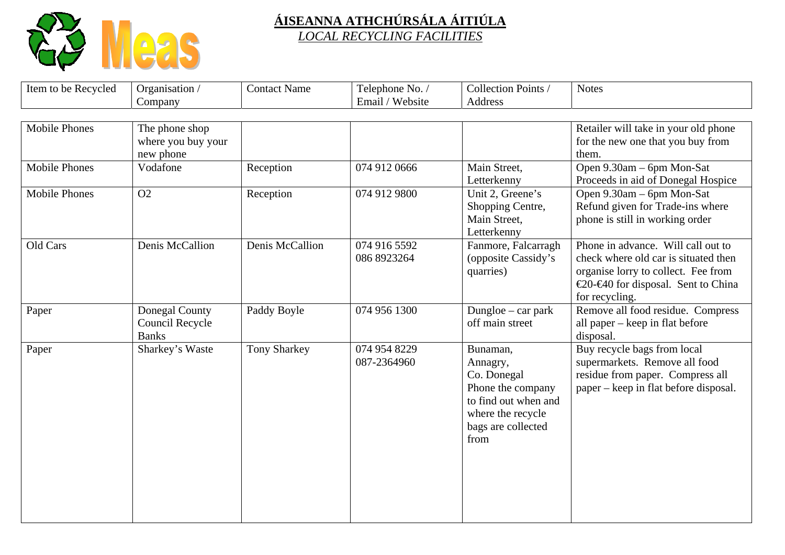

| Item to be Recycled  | Organisation /                                           | <b>Contact Name</b> | Telephone No. /             | Collection Points /                                                                                                                 | <b>Notes</b>                                                                                                                                                               |
|----------------------|----------------------------------------------------------|---------------------|-----------------------------|-------------------------------------------------------------------------------------------------------------------------------------|----------------------------------------------------------------------------------------------------------------------------------------------------------------------------|
|                      | Company                                                  |                     | Email / Website             | Address                                                                                                                             |                                                                                                                                                                            |
| <b>Mobile Phones</b> | The phone shop<br>where you buy your<br>new phone        |                     |                             |                                                                                                                                     | Retailer will take in your old phone<br>for the new one that you buy from<br>them.                                                                                         |
| <b>Mobile Phones</b> | Vodafone                                                 | Reception           | 074 912 0666                | Main Street,<br>Letterkenny                                                                                                         | Open 9.30am – 6pm Mon-Sat<br>Proceeds in aid of Donegal Hospice                                                                                                            |
| <b>Mobile Phones</b> | O2                                                       | Reception           | 074 912 9800                | Unit 2, Greene's<br>Shopping Centre,<br>Main Street,<br>Letterkenny                                                                 | Open 9.30am – 6pm Mon-Sat<br>Refund given for Trade-ins where<br>phone is still in working order                                                                           |
| Old Cars             | Denis McCallion                                          | Denis McCallion     | 074 916 5592<br>086 8923264 | Fanmore, Falcarragh<br>(opposite Cassidy's<br>quarries)                                                                             | Phone in advance. Will call out to<br>check where old car is situated then<br>organise lorry to collect. Fee from<br>€20-€40 for disposal. Sent to China<br>for recycling. |
| Paper                | Donegal County<br><b>Council Recycle</b><br><b>Banks</b> | Paddy Boyle         | 074 956 1300                | Dungloe $-$ car park<br>off main street                                                                                             | Remove all food residue. Compress<br>all paper – keep in flat before<br>disposal.                                                                                          |
| Paper                | Sharkey's Waste                                          | <b>Tony Sharkey</b> | 074 954 8229<br>087-2364960 | Bunaman,<br>Annagry,<br>Co. Donegal<br>Phone the company<br>to find out when and<br>where the recycle<br>bags are collected<br>from | Buy recycle bags from local<br>supermarkets. Remove all food<br>residue from paper. Compress all<br>paper – keep in flat before disposal.                                  |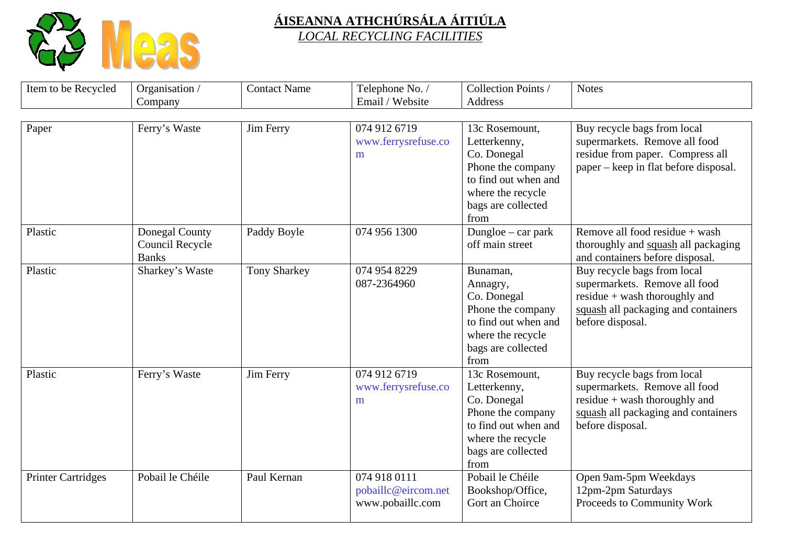

| Item to be Recycled       | Organisation /                                    | <b>Contact Name</b> | Telephone No. /                                         | Collection Points /                                                                                                                           | <b>Notes</b>                                                                                                                                               |
|---------------------------|---------------------------------------------------|---------------------|---------------------------------------------------------|-----------------------------------------------------------------------------------------------------------------------------------------------|------------------------------------------------------------------------------------------------------------------------------------------------------------|
|                           | Company                                           |                     | Email / Website                                         | Address                                                                                                                                       |                                                                                                                                                            |
| Paper                     | Ferry's Waste                                     | Jim Ferry           | 074 912 6719<br>www.ferrysrefuse.co<br>m                | 13c Rosemount,<br>Letterkenny,<br>Co. Donegal<br>Phone the company<br>to find out when and<br>where the recycle<br>bags are collected<br>from | Buy recycle bags from local<br>supermarkets. Remove all food<br>residue from paper. Compress all<br>paper – keep in flat before disposal.                  |
| Plastic                   | Donegal County<br>Council Recycle<br><b>Banks</b> | Paddy Boyle         | 074 956 1300                                            | Dungloe $-$ car park<br>off main street                                                                                                       | Remove all food residue + wash<br>thoroughly and squash all packaging<br>and containers before disposal.                                                   |
| Plastic                   | Sharkey's Waste                                   | <b>Tony Sharkey</b> | 074 954 8229<br>087-2364960                             | Bunaman,<br>Annagry,<br>Co. Donegal<br>Phone the company<br>to find out when and<br>where the recycle<br>bags are collected<br>from           | Buy recycle bags from local<br>supermarkets. Remove all food<br>$residue + wash thoroughly$ and<br>squash all packaging and containers<br>before disposal. |
| Plastic                   | Ferry's Waste                                     | Jim Ferry           | 074 912 6719<br>www.ferrysrefuse.co<br>m                | 13c Rosemount,<br>Letterkenny,<br>Co. Donegal<br>Phone the company<br>to find out when and<br>where the recycle<br>bags are collected<br>from | Buy recycle bags from local<br>supermarkets. Remove all food<br>$residue + wash thoroughly and$<br>squash all packaging and containers<br>before disposal. |
| <b>Printer Cartridges</b> | Pobail le Chéile                                  | Paul Kernan         | 074 918 0111<br>pobaillc@eircom.net<br>www.pobaillc.com | Pobail le Chéile<br>Bookshop/Office,<br>Gort an Choirce                                                                                       | Open 9am-5pm Weekdays<br>12pm-2pm Saturdays<br>Proceeds to Community Work                                                                                  |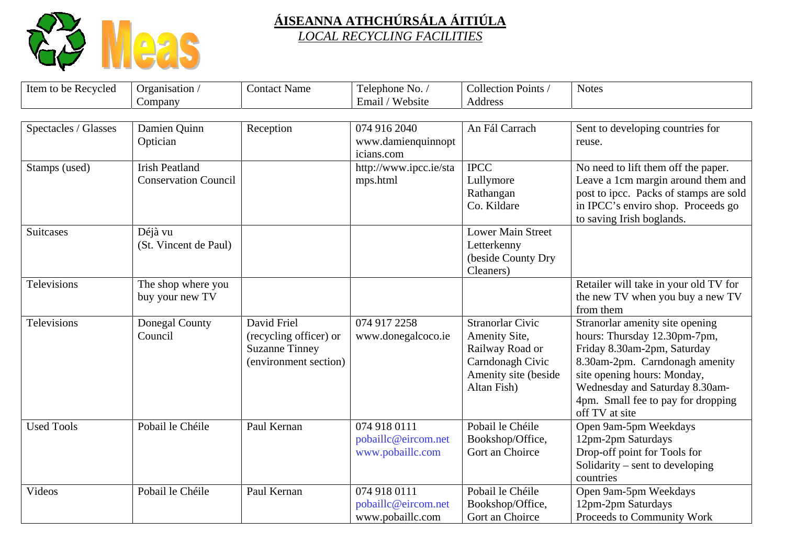

| Item to be Recycled  | Organisation /<br>Company                            | <b>Contact Name</b>                                                                     | Telephone No. /<br>Email / Website                      | Collection Points /<br><b>Address</b>                                                                           | <b>Notes</b>                                                                                                                                                                                                                                              |
|----------------------|------------------------------------------------------|-----------------------------------------------------------------------------------------|---------------------------------------------------------|-----------------------------------------------------------------------------------------------------------------|-----------------------------------------------------------------------------------------------------------------------------------------------------------------------------------------------------------------------------------------------------------|
|                      |                                                      |                                                                                         |                                                         |                                                                                                                 |                                                                                                                                                                                                                                                           |
| Spectacles / Glasses | Damien Quinn<br>Optician                             | Reception                                                                               | 074 916 2040<br>www.damienquinnopt<br>icians.com        | An Fál Carrach                                                                                                  | Sent to developing countries for<br>reuse.                                                                                                                                                                                                                |
| Stamps (used)        | <b>Irish Peatland</b><br><b>Conservation Council</b> |                                                                                         | http://www.ipcc.ie/sta<br>mps.html                      | <b>IPCC</b><br>Lullymore<br>Rathangan<br>Co. Kildare                                                            | No need to lift them off the paper.<br>Leave a 1cm margin around them and<br>post to ipcc. Packs of stamps are sold<br>in IPCC's enviro shop. Proceeds go<br>to saving Irish boglands.                                                                    |
| Suitcases            | Déjà vu<br>(St. Vincent de Paul)                     |                                                                                         |                                                         | <b>Lower Main Street</b><br>Letterkenny<br>(beside County Dry<br>Cleaners)                                      |                                                                                                                                                                                                                                                           |
| <b>Televisions</b>   | The shop where you<br>buy your new TV                |                                                                                         |                                                         |                                                                                                                 | Retailer will take in your old TV for<br>the new TV when you buy a new TV<br>from them                                                                                                                                                                    |
| Televisions          | Donegal County<br>Council                            | David Friel<br>(recycling officer) or<br><b>Suzanne Tinney</b><br>(environment section) | 074 917 2258<br>www.donegalcoco.ie                      | Stranorlar Civic<br>Amenity Site,<br>Railway Road or<br>Carndonagh Civic<br>Amenity site (beside<br>Altan Fish) | Stranorlar amenity site opening<br>hours: Thursday 12.30pm-7pm,<br>Friday 8.30am-2pm, Saturday<br>8.30am-2pm. Carndonagh amenity<br>site opening hours: Monday,<br>Wednesday and Saturday 8.30am-<br>4pm. Small fee to pay for dropping<br>off TV at site |
| <b>Used Tools</b>    | Pobail le Chéile                                     | Paul Kernan                                                                             | 074 918 0111<br>pobaillc@eircom.net<br>www.pobaillc.com | Pobail le Chéile<br>Bookshop/Office,<br>Gort an Choirce                                                         | Open 9am-5pm Weekdays<br>12pm-2pm Saturdays<br>Drop-off point for Tools for<br>Solidarity – sent to developing<br>countries                                                                                                                               |
| Videos               | Pobail le Chéile                                     | Paul Kernan                                                                             | 074 918 0111<br>pobaillc@eircom.net<br>www.pobaillc.com | Pobail le Chéile<br>Bookshop/Office,<br>Gort an Choirce                                                         | Open 9am-5pm Weekdays<br>12pm-2pm Saturdays<br>Proceeds to Community Work                                                                                                                                                                                 |